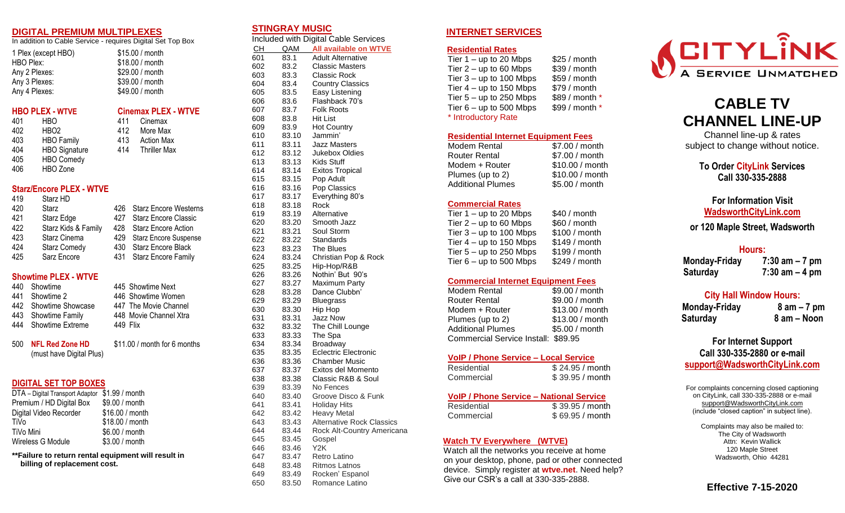#### **DIGITAL PREMIUM MULTIPLEXES**

In addition to Cable Service - requires Digital Set Top Box

411 Cinemax 412 More Max 413 Action Max 414 Thriller Max

| 1 Plex (except HBO) | \$15.00 / month |
|---------------------|-----------------|
| HBO Plex:           | \$18.00 / month |
| Any 2 Plexes:       | \$29.00 / month |
| Any 3 Plexes:       | \$39.00 / month |
| Any 4 Plexes:       | \$49.00 / month |
|                     |                 |

### **HBO PLEX - WTVE Cinemax PLEX - WTVE**

| 401 | HBO                  |
|-----|----------------------|
| 402 | HBO <sub>2</sub>     |
| 403 | <b>HBO Family</b>    |
| 404 | <b>HBO Signature</b> |
| 405 | <b>HBO Comedy</b>    |
| 406 | HBO Zone             |

# **Starz/Encore PLEX - WTVE**

| 419 | Starz HD            |     |                           |
|-----|---------------------|-----|---------------------------|
| 420 | Starz               |     | 426 Starz Encore Westerns |
| 421 | Starz Edge          |     | 427 Starz Encore Classic  |
| 422 | Starz Kids & Family |     | 428 Starz Encore Action   |
| 423 | Starz Cinema        |     | 429 Starz Encore Suspense |
| 424 | <b>Starz Comedy</b> | 430 | <b>Starz Encore Black</b> |
| 425 | Sarz Encore         |     | 431 Starz Encore Family   |
|     |                     |     |                           |
|     |                     |     |                           |

# **Showtime PLEX - WTVE**

| 440 Showtime          |          | 445 Showtime Next      |
|-----------------------|----------|------------------------|
| 441 Showtime 2        |          | 446 Showtime Women     |
| 442 Showtime Showcase |          | 447 The Movie Channel  |
| 443 Showtime Family   |          | 448 Movie Channel Xtra |
| 444 Showtime Extreme  | 449 Flix |                        |
|                       |          |                        |
|                       |          |                        |

500 **NFL Red Zone HD** \$11.00 / month for 6 months (must have Digital Plus)

# **DIGITAL SET TOP BOXES**

| DTA - Digital Transport Adaptor | \$1.99 / month  |
|---------------------------------|-----------------|
| Premium / HD Digital Box        | \$9.00 / month  |
| Digital Video Recorder          | \$16.00 / month |
| TiVo                            | \$18.00 / month |
| TiVo Mini                       | \$6.00 / month  |
| Wireless G Module               | \$3.00 / month  |

**\*\*Failure to return rental equipment will result in billing of replacement cost.**

## **STINGRAY MUSIC**

Included with Digital Cable Services CH QAM **All available on WTVE**

| <u>СН</u> | <u>QAM</u> | <b>All available on WTVE</b>     |
|-----------|------------|----------------------------------|
| 601       | 83.1       | <b>Adult Alternative</b>         |
| 602       | 83.2       | <b>Classic Masters</b>           |
| 603       | 83.3       | Classic Rock                     |
| 604       | 83.4       | <b>Country Classics</b>          |
| 605       | 83.5       | Easy Listening                   |
| 606       | 83.6       | Flashback 70's                   |
| 607       | 83.7       | <b>Folk Roots</b>                |
| 608       | 83.8       | <b>Hit List</b>                  |
| 609       | 83.9       | <b>Hot Country</b>               |
| 610       | 83.10      | Jammin'                          |
| 611       | 83.11      | <b>Jazz Masters</b>              |
| 612       | 83.12      | Jukebox Oldies                   |
| 613       | 83.13      | <b>Kids Stuff</b>                |
| 614       | 83.14      | <b>Exitos Tropical</b>           |
| 615       | 83.15      | Pop Adult                        |
| 616       | 83.16      | Pop Classics                     |
| 617       |            | Everything 80's                  |
|           | 83.17      |                                  |
| 618       | 83.18      | Rock                             |
| 619       | 83.19      | Alternative                      |
| 620       | 83.20      | Smooth Jazz                      |
| 621       | 83.21      | Soul Storm                       |
| 622       | 83.22      | Standards                        |
| 623       | 83.23      | The Blues                        |
| 624       | 83.24      | Christian Pop & Rock             |
| 625       | 83.25      | Hip-Hop/R&B                      |
| 626       | 83.26      | Nothin' But 90's                 |
| 627       | 83.27      | Maximum Party                    |
| 628       | 83.28      | Dance Clubbn'                    |
| 629       | 83.29      | <b>Bluegrass</b>                 |
| 630       | 83.30      | Hip Hop                          |
| 631       | 83.31      | <b>Jazz Now</b>                  |
| 632       | 83.32      | The Chill Lounge                 |
| 633       | 83.33      | The Spa                          |
| 634       | 83.34      | <b>Broadway</b>                  |
| 635       | 83.35      | <b>Eclectric Electronic</b>      |
| 636       | 83.36      | Chamber Music                    |
| 637       | 83.37      | Exitos del Momento               |
| 638       | 83.38      | Classic R&B & Soul               |
| 639       | 83.39      | No Fences                        |
| 640       | 83.40      | Groove Disco & Funk              |
| 641       | 83.41      | <b>Holiday Hits</b>              |
| 642       | 83.42      | <b>Heavy Metal</b>               |
| 643       | 83.43      | <b>Alternative Rock Classics</b> |
| 644       | 83.44      | Rock Alt-Country Americana       |
| 645       | 83.45      | Gospel                           |
| 646       | 83.46      | Y2K                              |
| 647       | 83.47      | Retro Latino                     |
| 648       | 83.48      | <b>Ritmos Latnos</b>             |

649 83.49 Rocken' Espanol 650 83.50 Romance Latino

# **INTERNET SERVICES**

#### **Residential Rates**

Tier  $1 -$  up to 20 Mbps  $$25 /$  month Tier  $2 - up to 60$  Mbps  $$39$  / month Tier  $3 - up$  to 100 Mbps  $$59/$  month Tier  $4 - up$  to 150 Mbps  $$79/$  month Tier  $5 - up$  to 250 Mbps  $$89/$  month \* Tier  $6 - up$  to 500 Mbps  $$99/$  month \* \* Introductory Rate

#### **Residential Internet Equipment Fees**

| Modem Rental             | \$7.00 / month  |
|--------------------------|-----------------|
| <b>Router Rental</b>     | \$7.00 / month  |
| Modem + Router           | \$10.00 / month |
| Plumes (up to 2)         | \$10.00 / month |
| <b>Additional Plumes</b> | \$5.00 / month  |

## **Commercial Rates**

Tier  $1 -$  up to 20 Mbps  $$40 /$  month Tier  $2 - up$  to 60 Mbps  $$60 / month$ Tier  $3 - up$  to 100 Mbps  $$100 / month$ Tier  $4 - \text{up to } 150 \text{ Mbps}$  \$149 / month Tier  $5 - up$  to 250 Mbps  $$199/$  month Tier  $6 - up$  to 500 Mbps  $$249 / month$ 

#### **Commercial Internet Equipment Fees**

Modem Rental \$9.00 / month Router Rental \$9.00 / month Modem + Router \$13.00 / month Plumes (up to 2) \$13.00 / month Additional Plumes \$5.00 / month Commercial Service Install: \$89.95

#### **VoIP / Phone Service – Local Service**

| Residential | \$24.95 / month |
|-------------|-----------------|
| Commercial  | \$39.95 / month |

## **VoIP / Phone Service – National Service**

Residential \$ 39.95 / month Commercial \$ 69.95 / month

## **Watch TV Everywhere (WTVE)**

 Watch all the networks you receive at home on your desktop, phone, pad or other connected device. Simply register at **wtve.net**. Need help? Give our CSR's a call at 330-335-2888.



# **CABLE TV CHANNEL LINE-UP**

Channel line-up & rates subject to change without notice.

> **To Order CityLink Services Call 330-335-2888**

**For Information Visit [WadsworthCityLink.com](http://www.wadsnet.com/)**

**or 120 Maple Street, Wadsworth**

## **Hours:**

**Monday-Friday 7:30 am – 7 pm Saturday 7:30 am – 4 pm**

# **City Hall Window Hours:**

**Monday-Friday 8 am – 7 pm Saturday 8 am – Noon**

# **For Internet Support Call 330-335-2880 or e-mail [support@WadsworthCityLink.com](mailto:support@wadsnet.com)**

For complaints concerning closed captioning on CityLink, call 330-335-2888 or e-mail [support@WadsworthCityLink.com](mailto:tvsupport@wadsnet.com) (include "closed caption" in subject line).

> Complaints may also be mailed to: The City of Wadsworth Attn: Kevin Wallick 120 Maple Street Wadsworth, Ohio 44281